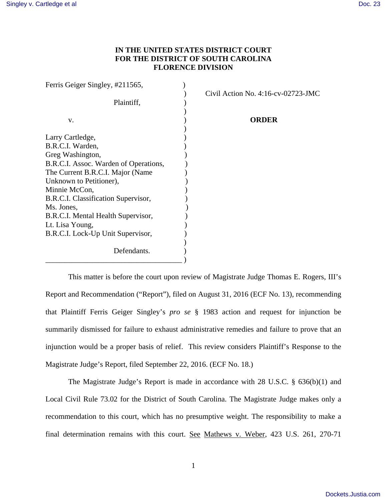## **IN THE UNITED STATES DISTRICT COURT FOR THE DISTRICT OF SOUTH CAROLINA FLORENCE DIVISION**

| Civil Action No. $4:16$ -cv-02723-JMC |
|---------------------------------------|
|                                       |
|                                       |
| ORDER                                 |
|                                       |
|                                       |
|                                       |
|                                       |
|                                       |
|                                       |
|                                       |
|                                       |
|                                       |
|                                       |
|                                       |
|                                       |
|                                       |
|                                       |
|                                       |
|                                       |
|                                       |

This matter is before the court upon review of Magistrate Judge Thomas E. Rogers, III's Report and Recommendation ("Report"), filed on August 31, 2016 (ECF No. 13), recommending that Plaintiff Ferris Geiger Singley's *pro se* § 1983 action and request for injunction be summarily dismissed for failure to exhaust administrative remedies and failure to prove that an injunction would be a proper basis of relief. This review considers Plaintiff's Response to the Magistrate Judge's Report, filed September 22, 2016. (ECF No. 18.)

The Magistrate Judge's Report is made in accordance with 28 U.S.C. § 636(b)(1) and Local Civil Rule 73.02 for the District of South Carolina. The Magistrate Judge makes only a recommendation to this court, which has no presumptive weight. The responsibility to make a final determination remains with this court. See Mathews v. Weber, 423 U.S. 261, 270-71